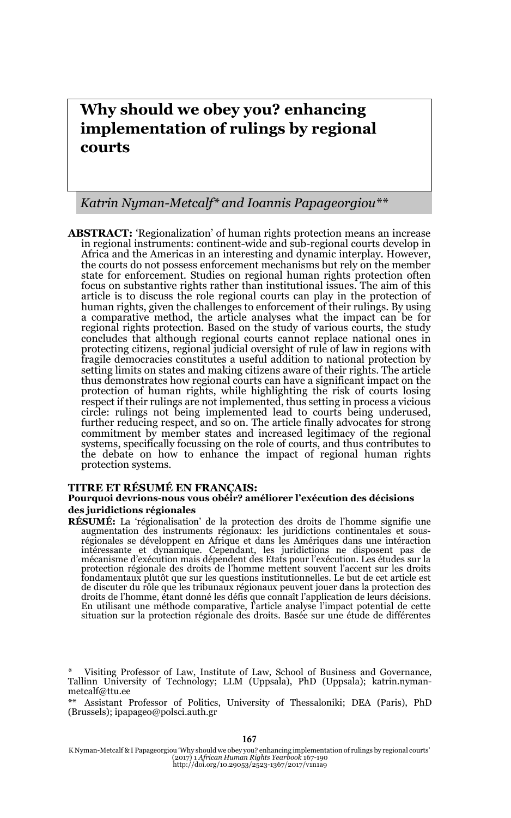# **Why should we obey you? enhancing implementation of rulings by regional courts**

#### *Katrin Nyman-Metcalf\* and Ioannis Papageorgiou\*\**

**ABSTRACT:** 'Regionalization' of human rights protection means an increase in regional instruments: continent-wide and sub-regional courts develop in Africa and the Americas in an interesting and dynamic interplay. However, the courts do not possess enforcement mechanisms but rely on the member state for enforcement. Studies on regional human rights protection often focus on substantive rights rather than institutional issues. The aim of this article is to discuss the role regional courts can play in the protection of human rights, given the challenges to enforcement of their rulings. By using a comparative method, the article analyses what the impact can be for regional rights protection. Based on the study of various courts, the study concludes that although regional courts cannot replace national ones in protecting citizens, regional judicial oversight of rule of law in regions with fragile democracies constitutes a useful addition to national protection by setting limits on states and making citizens aware of their rights. The article thus demonstrates how regional courts can have a significant impact on the protection of human rights, while highlighting the risk of courts losing respect if their rulings are not implemented, thus setting in process a vicious circle: rulings not being implemented lead to courts being underused, further reducing respect, and so on. The article finally advocates for strong commitment by member states and increased legitimacy of the regional systems, specifically focussing on the role of courts, and thus contributes to the debate on how to enhance the impact of regional human rights protection systems.

#### **TITRE ET RÉSUMÉ EN FRANÇAIS:**

#### **Pourquoi devrions-nous vous obéir? améliorer l'exécution des décisions des juridictions régionales**

**RÉSUMÉ:** La 'régionalisation' de la protection des droits de l'homme signifie une augmentation des instruments régionaux: les juridictions continentales et sousrégionales se développent en Afrique et dans les Amériques dans une intéraction<br>intéressante et dynamique. Cependant, les juridictions ne disposent pas de<br>mécanisme d'exécution mais dépendent des Etats pour l'exécution. Le protection régionale des droits de l'homme mettent souvent l'accent sur les droits fondamentaux plutôt que sur les questions institutionnelles. Le but de cet article est de discuter du rôle que les tribunaux régionaux peuvent jouer dans la protection des droits de l'homme, étant donné les défis que connaît l'application de leurs décisions. En utilisant une méthode comparative, l'article analyse l'impact potential de cette situation sur la protection régionale des droits. Basée sur une étude de différentes

167

Visiting Professor of Law, Institute of Law, School of Business and Governance, Tallinn University of Technology; LLM (Uppsala), PhD (Uppsala); katrin.nymanmetcalf@ttu.ee

<sup>\*\*</sup> Assistant Professor of Politics, University of Thessaloniki; DEA (Paris), PhD (Brussels); ipapageo@polsci.auth.gr

K Nyman-Metcalf & I Papageorgiou 'Why should we obey you? enhancing implementation of rulings by regional courts' (2017) 1 *African Human Rights Yearbook* 167-190 http://doi.org/10.29053/2523-1367/2017/v1n1a9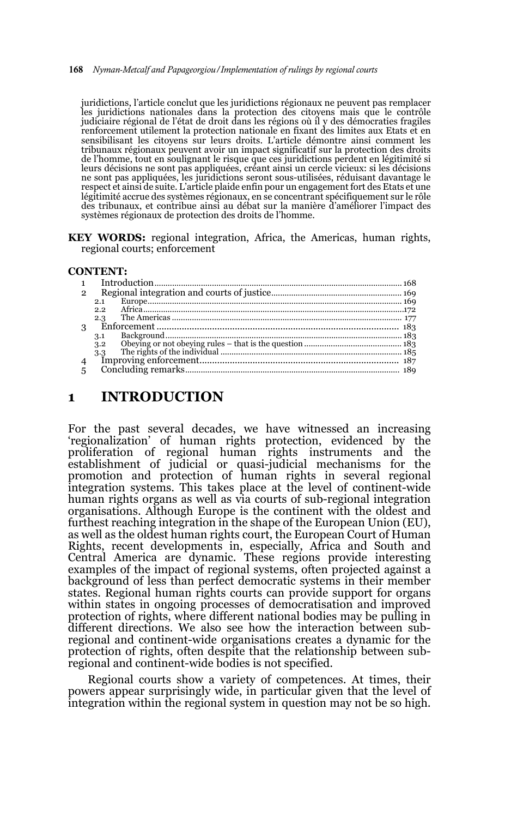#### 168 *Nyman-Metcalf and Papageorgiou/Implementation of rulings by regional courts*

juridictions, l'article conclut que les juridictions régionaux ne peuvent pas remplacer les juridictions nationales dans la protection des citoyens mais que le contrôle judiciaire régional de l'état de droit dans les régions où il y des démocraties fragiles renforcement utilement la protection nationale en fixant des limites aux Etats et en sensibilisant les citoyens sur leurs droits. L'article démontre ainsi comment les tribunaux régionaux peuvent avoir un impact significatif sur la protection des droits de l'homme, tout en soulignant le risque que ces juridictions perdent en légitimité si leurs décisions ne sont pas appliquées, créant ainsi un cercle vicieux: si les décisions ne sont pas appliquées, les juridictions seront sous-utilisées, réduisant davantage le respect et ainsi de suite. L'article plaide enfin pour un engagement fort des Etats et une légitimité accrue des systèmes régionaux, en se concentrant spécifiquement sur le rôle des tribunaux, et contribue ainsi au débat sur la manière d'améliorer l'impact des systèmes régionaux de protection des droits de l'homme.

**KEY WORDS:** regional integration, Africa, the Americas, human rights, regional courts; enforcement

#### **CONTENT:**

| $\mathfrak{p}$ |     |  |
|----------------|-----|--|
|                | 2.1 |  |
|                | 2.2 |  |
|                |     |  |
|                |     |  |
|                | 3.1 |  |
|                | 3.2 |  |
|                |     |  |
| $\overline{4}$ |     |  |
| 5              |     |  |
|                |     |  |

### **1 INTRODUCTION**

For the past several decades, we have witnessed an increasing 'regionalization' of human rights protection, evidenced by the proliferation of regional human rights instruments and the establishment of judicial or quasi-judicial mechanisms for the promotion and protection of human rights in several regional integration systems. This takes place at the level of continent-wide human rights organs as well as via courts of sub-regional integration organisations. Although Europe is the continent with the oldest and furthest reaching integration in the shape of the European Union (EU), as well as the oldest human rights court, the European Court of Human Rights, recent developments in, especially, Africa and South and Central America are dynamic. These regions provide interesting examples of the impact of regional systems, often projected against a background of less than perfect democratic systems in their member states. Regional human rights courts can provide support for organs within states in ongoing processes of democratisation and improved protection of rights, where different national bodies may be pulling in different directions. We also see how the interaction between subregional and continent-wide organisations creates a dynamic for the protection of rights, often despite that the relationship between subregional and continent-wide bodies is not specified.

Regional courts show a variety of competences. At times, their powers appear surprisingly wide, in particular given that the level of integration within the regional system in question may not be so high.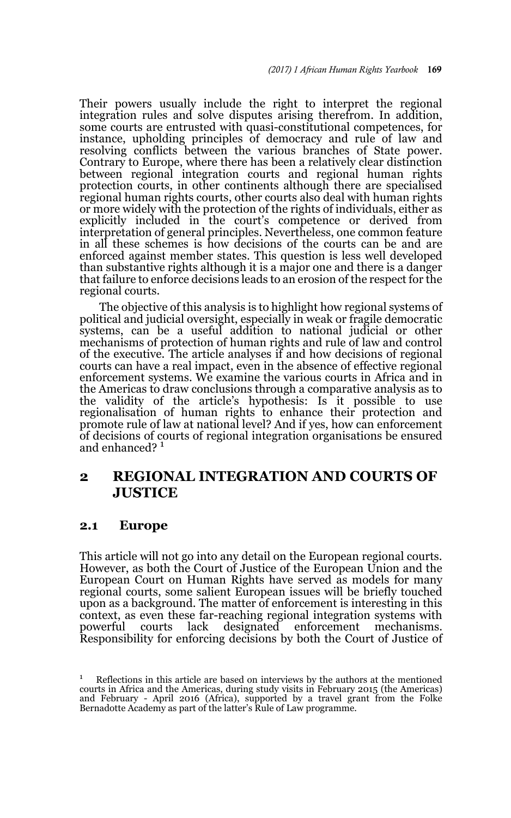Their powers usually include the right to interpret the regional integration rules and solve disputes arising therefrom. In addition, some courts are entrusted with quasi-constitutional competences, for instance, upholding principles of democracy and rule of law and resolving conflicts between the various branches of State power. Contrary to Europe, where there has been a relatively clear distinction between regional integration courts and regional human rights protection courts, in other continents although there are specialised regional human rights courts, other courts also deal with human rights or more widely with the protection of the rights of individuals, either as explicitly included in the court's competence or derived from interpretation of general principles. Nevertheless, one common feature in all these schemes is how decisions of the courts can be and are enforced against member states. This question is less well developed than substantive rights although it is a major one and there is a danger that failure to enforce decisions leads to an erosion of the respect for the regional courts.

The objective of this analysis is to highlight how regional systems of political and judicial oversight, especially in weak or fragile democratic systems, can be a useful addition to national judicial or other mechanisms of protection of human rights and rule of law and control of the executive. The article analyses if and how decisions of regional courts can have a real impact, even in the absence of effective regional enforcement systems. We examine the various courts in Africa and in the Americas to draw conclusions through a comparative analysis as to the validity of the article's hypothesis: Is it possible to use regionalisation of human rights to enhance their protection and promote rule of law at national level? And if yes, how can enforcement of decisions of courts of regional integration organisations be ensured and enhanced?<sup>1</sup>

# **2 REGIONAL INTEGRATION AND COURTS OF JUSTICE**

### **2.1 Europe**

This article will not go into any detail on the European regional courts. However, as both the Court of Justice of the European Union and the European Court on Human Rights have served as models for many regional courts, some salient European issues will be briefly touched upon as a background. The matter of enforcement is interesting in this context, as even these far-reaching regional integration systems with powerful courts lack designated enforcement mechanisms. courts lack designated enforcement mechanisms. Responsibility for enforcing decisions by both the Court of Justice of

<sup>&</sup>lt;sup>1</sup> Reflections in this article are based on interviews by the authors at the mentioned courts in Africa and the Americas, during study visits in February 2015 (the Americas) and February - April 2016 (Africa), supported by a travel grant from the Folke Bernadotte Academy as part of the latter's Rule of Law programme.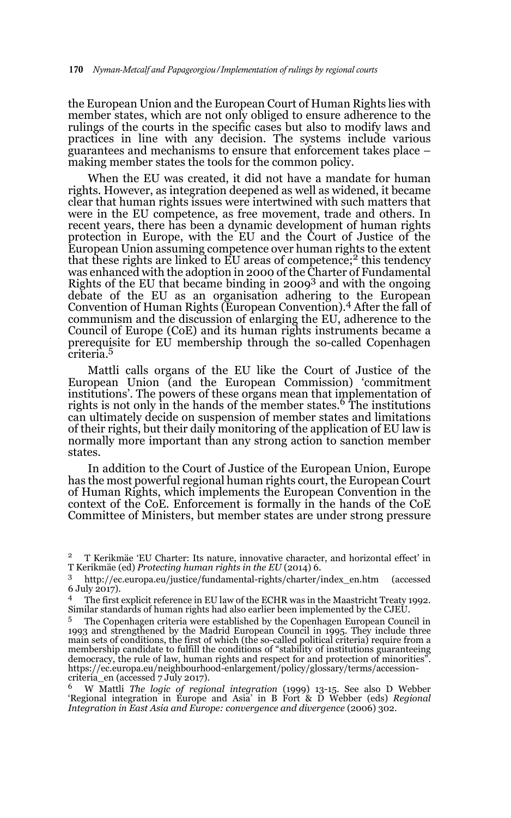the European Union and the European Court of Human Rights lies with member states, which are not only obliged to ensure adherence to the rulings of the courts in the specific cases but also to modify laws and practices in line with any decision. The systems include various guarantees and mechanisms to ensure that enforcement takes place – making member states the tools for the common policy.

When the EU was created, it did not have a mandate for human rights. However, as integration deepened as well as widened, it became clear that human rights issues were intertwined with such matters that were in the EU competence, as free movement, trade and others. In recent years, there has been a dynamic development of human rights protection in Europe, with the EU and the Court of Justice of the European Union assuming competence over human rights to the extent that these rights are linked to  $\overline{EU}$  areas of competence;<sup>2</sup> this tendency was enhanced with the adoption in 2000 of the Charter of Fundamental Rights of the EU that became binding in  $2009<sup>3</sup>$  and with the ongoing debate of the EU as an organisation adhering to the European Convention of Human Rights (European Convention).<sup>4</sup> After the fall of communism and the discussion of enlarging the EU, adherence to the Council of Europe (CoE) and its human rights instruments became a prerequisite for EU membership through the so-called Copenhagen criteria.5

Mattli calls organs of the EU like the Court of Justice of the European Union (and the European Commission) 'commitment institutions'. The powers of these organs mean that implementation of rights is not only in the hands of the member states.<sup>6</sup> The institutions can ultimately decide on suspension of member states and limitations of their rights, but their daily monitoring of the application of EU law is normally more important than any strong action to sanction member states.

In addition to the Court of Justice of the European Union, Europe has the most powerful regional human rights court, the European Court of Human Rights, which implements the European Convention in the context of the CoE. Enforcement is formally in the hands of the CoE Committee of Ministers, but member states are under strong pressure

<sup>2</sup> T Kerikmäe 'EU Charter: Its nature, innovative character, and horizontal effect' in T Kerikmäe (ed) *Protecting human rights in the EU* (2014) 6.

<sup>3</sup> http://ec.europa.eu/justice/fundamental-rights/charter/index\_en.htm (accessed 6 July 2017).

<sup>4</sup> The first explicit reference in EU law of the ECHR was in the Maastricht Treaty 1992. Similar standards of human rights had also earlier been implemented by the CJEU.

<sup>&</sup>lt;sup>5</sup> The Copenhagen criteria were established by the Copenhagen European Council in 1993 and strengthened by the Madrid European Council in 1995. They include three main sets of conditions, the first of which (the so-called political criteria) require from a membership candidate to fulfill the conditions of "stability of institutions guaranteeing democracy, the rule of law, human rights and respect for and protection of minorities". https://ec.europa.eu/neighbourhood-enlargement/policy/glossary/terms/accessioncriteria\_en (accessed 7 July 2017).

<sup>6</sup> W Mattli *The logic of regional integration* (1999) 13-15. See also D Webber 'Regional integration in Europe and Asia' in B Fort & D Webber (eds) *Regional Integration in East Asia and Europe: convergence and divergence* (2006) 302.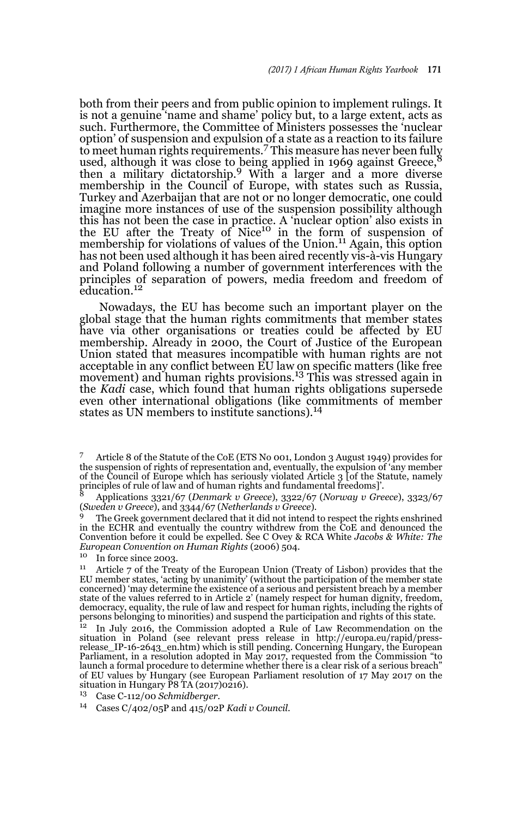both from their peers and from public opinion to implement rulings. It is not a genuine 'name and shame' policy but, to a large extent, acts as such. Furthermore, the Committee of Ministers possesses the 'nuclear option' of suspension and expulsion of a state as a reaction to its failure to meet human rights requirements.<sup>7</sup> This measure has never been fully used, although it was close to being applied in 1969 against Greece,<sup>8</sup> then a military dictatorship.<sup>9</sup> With a larger and a more diverse membership in the Council of Europe, with states such as Russia, Turkey and Azerbaijan that are not or no longer democratic, one could imagine more instances of use of the suspension possibility although this has not been the case in practice. A 'nuclear option' also exists in the EU after the Treaty of Nice<sup>10</sup> in the form of suspension of membership for violations of values of the Union.<sup>11</sup> Again, this option has not been used although it has been aired recently vis-à-vis Hungary and Poland following a number of government interferences with the principles of separation of powers, media freedom and freedom of education.<sup>12</sup>

Nowadays, the EU has become such an important player on the global stage that the human rights commitments that member states have via other organisations or treaties could be affected by EU membership. Already in 2000, the Court of Justice of the European Union stated that measures incompatible with human rights are not acceptable in any conflict between EU law on specific matters (like free movement) and human rights provisions.13 This was stressed again in the *Kadi* case, which found that human rights obligations supersede even other international obligations (like commitments of member states as UN members to institute sanctions).<sup>14</sup>

<sup>7</sup> Article 8 of the Statute of the CoE (ETS No 001, London 3 August 1949) provides for the suspension of rights of representation and, eventually, the expulsion of 'any member of the Council of Europe which has seriously violated Article 3 [of the Statute, namely principles of rule of law and of human rights and fundamental freedoms]'.

<sup>8</sup> Applications 3321/67 (*Denmark v Greece*), 3322/67 (*Norway v Greece*), 3323/67 (*Sweden v Greece*), and 3344/67 (*Netherlands v Greece*).

The Greek government declared that it did not intend to respect the rights enshrined in the ECHR and eventually the country withdrew from the CoE and denounced the Convention before it could be expelled. See C Ovey & RCA White *Jacobs & White: The European Convention on Human Rights* (2006) 504.

In force since 2003.

<sup>&</sup>lt;sup>11</sup> Article 7 of the Treaty of the European Union (Treaty of Lisbon) provides that the EU member states, 'acting by unanimity' (without the participation of the member state concerned) 'may determine the existence of a serious and persistent breach by a member state of the values referred to in Article 2' (namely respect for human dignity, freedom, democracy, equality, the rule of law and respect for human rights, including the rights of persons belonging to minorities) and suspend the participation and rights of this state.<br><sup>12</sup> In July 2016, the Commission adopted a Rule of Law Recommendation on the

situation in Poland (see relevant press release in http://europa.eu/rapid/press-release\_IP-16-2643\_en.htm) which is still pending. Concerning Hungary, the European Parliament, in a resolution adopted in May 2017, requested from the Commission "to launch a formal procedure to determine whether there is a clear risk of a serious breach" of EU values by Hungary (see European Parliament resolution of 17 May 2017 on the situation in Hungary  $\overline{P}8\overline{T}A(2017)0216$ .

<sup>13</sup> Case C-112/00 *Schmidberger.*

<sup>14</sup> Cases C/402/05P and 415/02P *Kadi v Council.*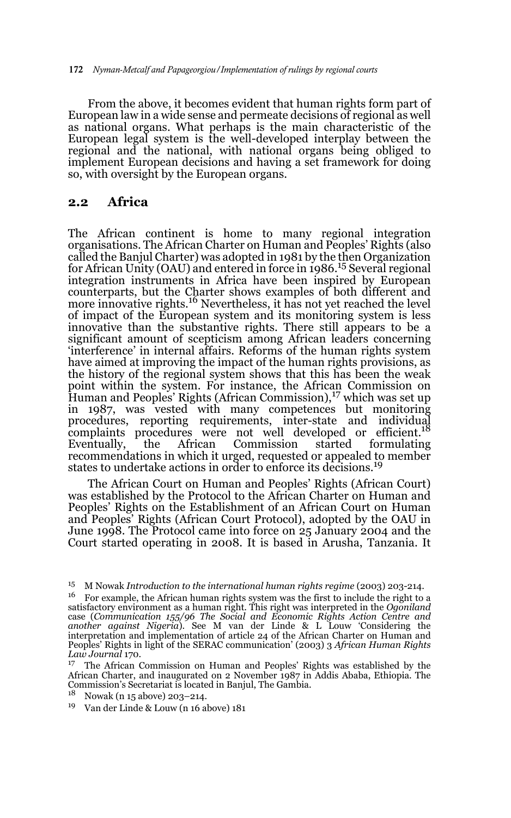From the above, it becomes evident that human rights form part of European law in a wide sense and permeate decisions of regional as well as national organs. What perhaps is the main characteristic of the European legal system is the well-developed interplay between the regional and the national, with national organs being obliged to implement European decisions and having a set framework for doing so, with oversight by the European organs.

### **2.2 Africa**

The African continent is home to many regional integration organisations. The African Charter on Human and Peoples' Rights (also called the Banjul Charter) was adopted in 1981 by the then Organization for African Unity (OAU) and entered in force in 1986.15 Several regional integration instruments in Africa have been inspired by European counterparts, but the Charter shows examples of both different and<br>more innovative rights.<sup>16</sup> Nevertheless, it has not yet reached the level of impact of the European system and its monitoring system is less innovative than the substantive rights. There still appears to be a significant amount of scepticism among African leaders concerning 'interference' in internal affairs. Reforms of the human rights system have aimed at improving the impact of the human rights provisions, as the history of the regional system shows that this has been the weak point within the system. For instance, the African Commission on Human and Peoples' Rights (African Commission),<sup>17</sup> which was set up in 1987, was vested with many competences but monitoring procedures, reporting requirements, inter-state and individual<br>complaints procedures were not well developed or efficient.<sup>18</sup> Eventually, the African Commission started formulating recommendations in which it urged, requested or appealed to member states to undertake actions in order to enforce its decisions.<sup>19</sup>

The African Court on Human and Peoples' Rights (African Court) was established by the Protocol to the African Charter on Human and Peoples' Rights on the Establishment of an African Court on Human and Peoples' Rights (African Court Protocol), adopted by the OAU in June 1998. The Protocol came into force on 25 January 2004 and the Court started operating in 2008. It is based in Arusha, Tanzania. It

- <sup>18</sup> Nowak (n 15 above) 203–214.
- <sup>19</sup> Van der Linde & Louw (n 16 above) 181

<sup>15</sup> M Nowak *Introduction to the international human rights regime* (2003) 203-214.

 $16$  For example, the African human rights system was the first to include the right to a satisfactory environment as a human right. This right was interpreted in the *Ogoniland* case (Communication 155/96 The Social and Economic Rights Action Centre and<br>another against Nigeria). See M van der Linde & L Louw 'Considering the<br>interpretation and implementation of article 24 of the African Charter on Peoples' Rights in light of the SERAC communication' (2003) 3 *African Human Rights Law Journal* 170.

<sup>&</sup>lt;sup>17</sup> The African Commission on Human and Peoples' Rights was established by the African Charter, and inaugurated on  $2$  November 1987 in Addis Ababa, Ethiopia. The Commission's Secretariat is located in Banjul, The Gambia.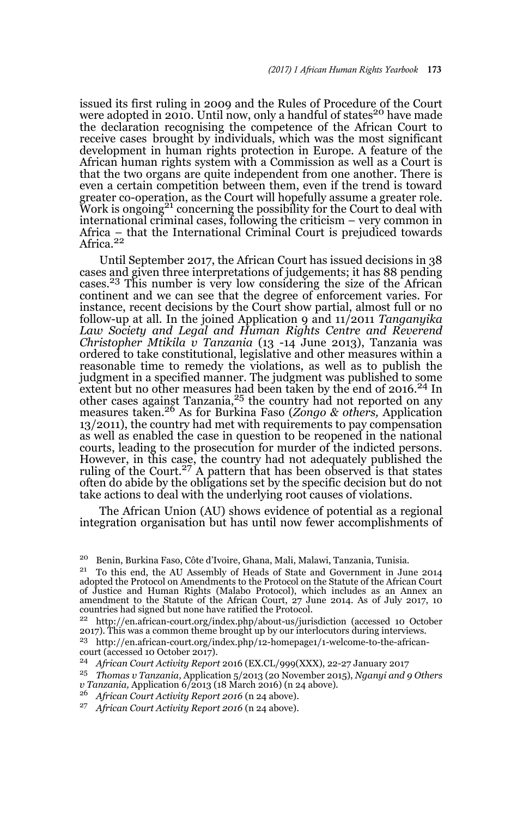issued its first ruling in 2009 and the Rules of Procedure of the Court were adopted in 2010. Until now, only a handful of states<sup>20</sup> have made the declaration recognising the competence of the African Court to receive cases brought by individuals, which was the most significant development in human rights protection in Europe. A feature of the African human rights system with a Commission as well as a Court is that the two organs are quite independent from one another. There is even a certain competition between them, even if the trend is toward greater co-operation, as the Court will hopefully assume a greater role. Work is ongoing21 concerning the possibility for the Court to deal with international criminal cases, following the criticism – very common in Africa – that the International Criminal Court is prejudiced towards<br>Africa.<sup>22</sup>

Until September 2017, the African Court has issued decisions in 38 cases and given three interpretations of judgements; it has 88 pending cases.<sup>23</sup> This number is very low considering the size of the African continent and we can see that the degree of enforcement varies. For instance, recent decisions by the Court show partial, almost full or no follow-up at all. In the joined Application 9 and 11/2011 *Tanganyika Law Society and Legal and Human Rights Centre and Reverend Christopher Mtikila v Tanzania* (13 -14 June 2013), Tanzania was ordered to take constitutional, legislative and other measures within a reasonable time to remedy the violations, as well as to publish the judgment in a specified manner. The judgment was published to some extent but no other measures had been taken by the end of 2016.<sup>24</sup> In other cases against Tanzania,  $^{25}$  the country had not reported on any measures taken.26 As for Burkina Faso (*Zongo & others,* Application 13/2011), the country had met with requirements to pay compensation as well as enabled the case in question to be reopened in the national courts, leading to the prosecution for murder of the indicted persons. However, in this case, the country had not adequately published the ruling of the Court.<sup>27</sup> A pattern that has been observed is that states often do abide by the obligations set by the specific decision but do not take actions to deal with the underlying root causes of violations.

The African Union (AU) shows evidence of potential as a regional integration organisation but has until now fewer accomplishments of

<sup>23</sup> http://en.african-court.org/index.php/12-homepage1/1-welcome-to-the-africancourt (accessed 10 October 2017).

<sup>24</sup> *African Court Activity Report* 2016 (EX.CL/999(XXX), 22-27 January 2017

<sup>25</sup> *Thomas v Tanzania*, Application 5/2013 (20 November 2015), *Nganyi and 9 Others v Tanzania,* Application 6/2013 (18 March 2016) (n 24 above)*.*

<sup>26</sup> *African Court Activity Report 2016* (n 24 above)*.*

<sup>27</sup> *African Court Activity Report 2016* (n 24 above)*.*

<sup>20</sup> Benin, Burkina Faso, Côte d'Ivoire, Ghana, Mali, Malawi, Tanzania, Tunisia.

<sup>21</sup> To this end, the AU Assembly of Heads of State and Government in June 2014 adopted the Protocol on Amendments to the Protocol on the Statute of the African Court of Justice and Human Rights (Malabo Protocol), which includes as an Annex an amendment to the Statute of the African Court, 27 June 2014. As of July 2017, 10 countries had signed but none have ratified the Protocol.

<sup>22</sup> http://en.african-court.org/index.php/about-us/jurisdiction (accessed 10 October 2017). This was a common theme brought up by our interlocutors during interviews.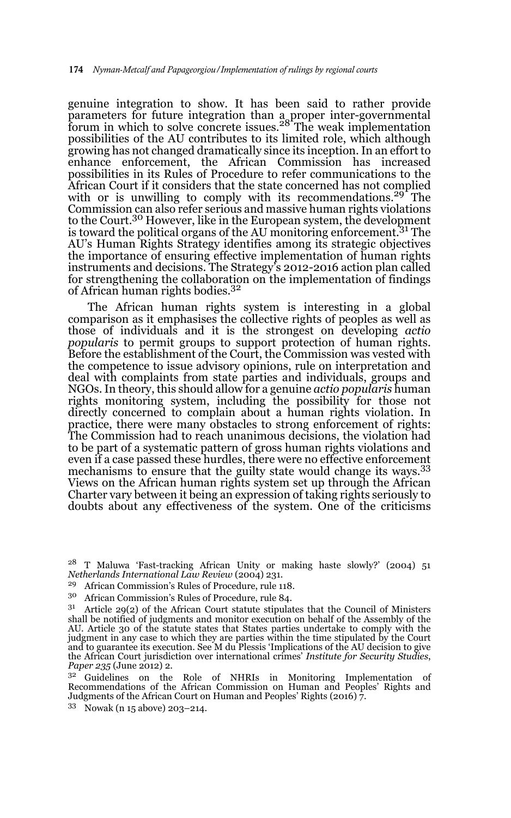genuine integration to show. It has been said to rather provide parameters for future integration than a proper inter-governmental forum in which to solve concrete issues.<sup>28</sup> The weak implementation possibilities of the AU contributes to its limited role, which although growing has not changed dramatically since its inception. In an effort to enhance enforcement, the African Commission has increased possibilities in its Rules of Procedure to refer communications to the African Court if it considers that the state concerned has not complied with or is unwilling to comply with its recommendations.<sup>29</sup> The Commission can also refer serious and massive human rights violations to the Court.30 However, like in the European system, the development is toward the political organs of the AU monitoring enforcement.31 The AU's Human Rights Strategy identifies among its strategic objectives the importance of ensuring effective implementation of human rights instruments and decisions. The Strategy's 2012-2016 action plan called for strengthening the collaboration on the implementation of findings of African human rights bodies.<sup>32</sup>

The African human rights system is interesting in a global comparison as it emphasises the collective rights of peoples as well as those of individuals and it is the strongest on developing *actio popularis* to permit groups to support protection of human rights. Before the establishment of the Court, the Commission was vested with the competence to issue advisory opinions, rule on interpretation and deal with complaints from state parties and individuals, groups and NGOs. In theory, this should allow for a genuine *actio popularis* human rights monitoring system, including the possibility for those not directly concerned to complain about a human rights violation. In practice, there were many obstacles to strong enforcement of rights: The Commission had to reach unanimous decisions, the violation had to be part of a systematic pattern of gross human rights violations and even if a case passed these hurdles, there were no effective enforcement mechanisms to ensure that the guilty state would change its ways.<sup>33</sup> Views on the African human rights system set up through the African Charter vary between it being an expression of taking rights seriously to doubts about any effectiveness of the system. One of the criticisms

African Commission's Rules of Procedure, rule 118.

<sup>28</sup> T Maluwa 'Fast-tracking African Unity or making haste slowly?' (2004) 51 *Netherlands International Law Review* (2004) 231.

<sup>30</sup> African Commission's Rules of Procedure, rule 84.

 $31$  Article 29(2) of the African Court statute stipulates that the Council of Ministers shall be notified of judgments and monitor execution on behalf of the Assembly of the AU. Article 30 of the statute states that States parties undertake to comply with the judgment in any case to which they are parties within the time stipulated by the Court and to guarantee its execution. See M du Plessis 'Implications of the AU decision to give the African Court jurisdiction over international crimes' *Institute for Security Studies*, *Paper 235* (June 2012) 2.

<sup>&</sup>lt;sup>32</sup> Guidelines on the Role of NHRIs in Monitoring Implementation of Recommendations of the African Commission on Human and Peoples' Rights and Judgments of the African Court on Human and Peoples' Rights (2016) 7.

<sup>33</sup> Nowak (n 15 above) 203–214.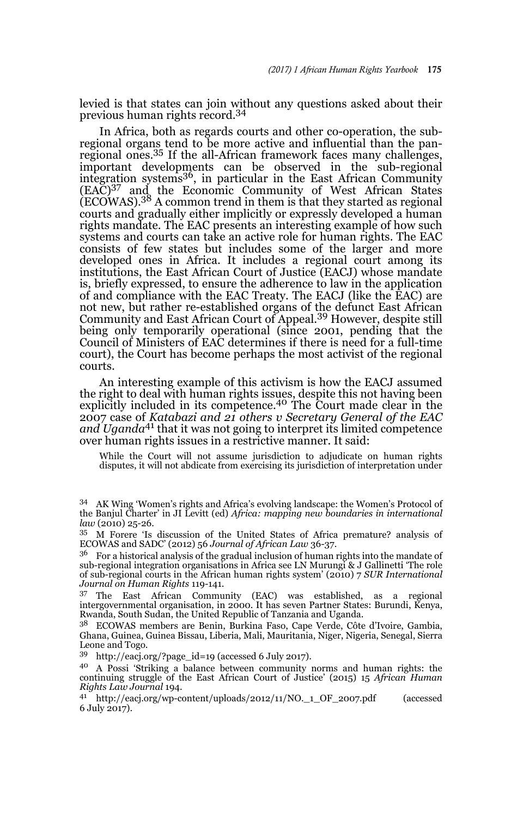levied is that states can join without any questions asked about their previous human rights record.<sup>34</sup>

In Africa, both as regards courts and other co-operation, the subregional organs tend to be more active and influential than the panregional ones.35 If the all-African framework faces many challenges, important developments can be observed in the sub-regional integration systems<sup>36</sup>, in particular in the East African Community (EAC)37 and the Economic Community of West African States (ECOWAS).38 A common trend in them is that they started as regional courts and gradually either implicitly or expressly developed a human rights mandate. The EAC presents an interesting example of how such systems and courts can take an active role for human rights. The EAC consists of few states but includes some of the larger and more developed ones in Africa. It includes a regional court among its institutions, the East African Court of Justice (EACJ) whose mandate is, briefly expressed, to ensure the adherence to law in the application of and compliance with the EAC Treaty. The EACJ (like the EAC) are not new, but rather re-established organs of the defunct East African Community and East African Court of Appeal.39 However, despite still being only temporarily operational (since 2001, pending that the Council of Ministers of EAC determines if there is need for a full-time court), the Court has become perhaps the most activist of the regional courts.

An interesting example of this activism is how the EACJ assumed the right to deal with human rights issues, despite this not having been explicitly included in its competence.<sup>40</sup> The Court made clear in the 2007 case of *Katabazi and 21 others v Secretary General of the EAC and Uganda*41 that it was not going to interpret its limited competence over human rights issues in a restrictive manner. It said:

While the Court will not assume jurisdiction to adjudicate on human rights disputes, it will not abdicate from exercising its jurisdiction of interpretation under

<sup>35</sup> M Forere 'Is discussion of the United States of Africa premature? analysis of ECOWAS and SADC' (2012) 56 *Journal of African Law* 36-37.

 $36$  For a historical analysis of the gradual inclusion of human rights into the mandate of sub-regional integration organisations in Africa see LN Murungi & J Gallinetti 'The role of sub-regional courts in the African human rights system' (2010) 7 *SUR International Journal on Human Rights* 119-141.

<sup>37</sup> The East African Community (EAC) was established, as a regional intergovernmental organisation, in 2000. It has seven Partner States: Burundi, Kenya, Rwanda, South Sudan, the United Republic of Tanzania and Uganda.

<sup>38</sup> ECOWAS members are Benin, Burkina Faso, Cape Verde, Côte d'Ivoire, Gambia, Ghana, Guinea, Guinea Bissau, Liberia, Mali, Mauritania, Niger, Nigeria, Senegal, Sierra Leone and Togo.

<sup>39</sup> http://eacj.org/?page\_id=19 (accessed 6 July 2017).

<sup>40</sup> A Possi 'Striking a balance between community norms and human rights: the continuing struggle of the East African Court of Justice' (2015) 15 *African Human Rights Law Journal* 194.

<sup>41</sup> http://eacj.org/wp-content/uploads/2012/11/NO.\_1\_OF\_2007.pdf (accessed 6 July 2017).

<sup>34</sup> AK Wing 'Women's rights and Africa's evolving landscape: the Women's Protocol of the Banjul Charter' in JI Levitt (ed) *Africa: mapping new boundaries in international law* (2010) 25-26.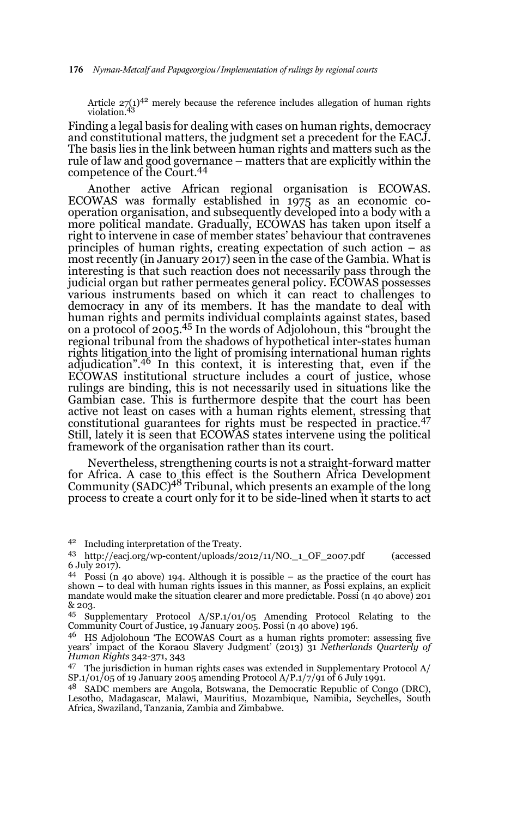Article  $27(1)^{42}$  merely because the reference includes allegation of human rights violation.<sup>43</sup>

Finding a legal basis for dealing with cases on human rights, democracy and constitutional matters, the judgment set a precedent for the EACJ. The basis lies in the link between human rights and matters such as the rule of law and good governance – matters that are explicitly within the competence of the Court.44

Another active African regional organisation is ECOWAS. ECOWAS was formally established in 1975 as an economic cooperation organisation, and subsequently developed into a body with a more political mandate. Gradually, ECOWAS has taken upon itself a right to intervene in case of member states' behaviour that contravenes principles of human rights, creating expectation of such action – as most recently (in January 2017) seen in the case of the Gambia. What is interesting is that such reaction does not necessarily pass through the judicial organ but rather permeates general policy. ECOWAS possesses various instruments based on which it can react to challenges to democracy in any of its members. It has the mandate to deal with human rights and permits individual complaints against states, based on a protocol of 2005.45 In the words of Adjolohoun, this "brought the regional tribunal from the shadows of hypothetical inter-states human rights litigation into the light of promising international human rights adjudication".<sup>46</sup> In this context, it is interesting that, even if the ECOWAS institutional structure includes a court of justice, whose rulings are binding, this is not necessarily used in situations like the Gambian case. This is furthermore despite that the court has been active not least on cases with a human rights element, stressing that constitutional guarantees for rights must be respected in practice.<sup>47</sup> Still, lately it is seen that ECOWAS states intervene using the political framework of the organisation rather than its court.

Nevertheless, strengthening courts is not a straight-forward matter for Africa. A case to this effect is the Southern Africa Development<br>Community (SADC)<sup>48</sup> Tribunal, which presents an example of the long process to create a court only for it to be side-lined when it starts to act

<sup>45</sup> Supplementary Protocol  $A/SP.1/01/05$  Amending Protocol Relating to the Community Court of Justice, 19 January 2005. Possi (n 40 above) 196.

<sup>46</sup> HS Adjolohoun 'The ECOWAS Court as a human rights promoter: assessing five years' impact of the Koraou Slavery Judgment' (2013) 31 *Netherlands Quarterly of Human Rights* 342-371, 343

<sup>47</sup> The jurisdiction in human rights cases was extended in Supplementary Protocol  $A/$ SP.1/01/05 of 19 January 2005 amending Protocol A/P.1/7/91 of 6 July 1991.

<sup>48</sup> SADC members are Angola, Botswana, the Democratic Republic of Congo (DRC), Lesotho, Madagascar, Malawi, Mauritius, Mozambique, Namibia, Seychelles, South Africa, Swaziland, Tanzania, Zambia and Zimbabwe.

<sup>42</sup> Including interpretation of the Treaty.

<sup>43</sup> http://eacj.org/wp-content/uploads/2012/11/NO.\_1\_OF\_2007.pdf (accessed 6 July 2017).

<sup>44</sup> Possi (n 40 above) 194. Although it is possible – as the practice of the court has shown – to deal with human rights issues in this manner, as Possi explains, an explicit mandate would make the situation clearer and more predictable. Possi (n 40 above) 201 & 203.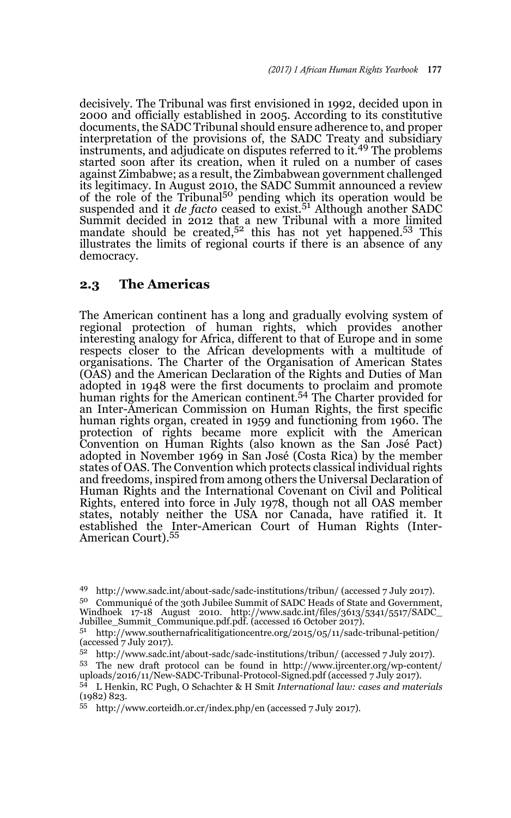decisively. The Tribunal was first envisioned in 1992, decided upon in 2000 and officially established in 2005. According to its constitutive documents, the SADC Tribunal should ensure adherence to, and proper interpretation of the provisions of, the SADC Treaty and subsidiary instruments, and adjudicate on disputes referred to it.<sup>49</sup> The problems started soon after its creation, when it ruled on a number of cases against Zimbabwe; as a result, the Zimbabwean government challenged its legitimacy. In August 2010, the SADC Summit announced a review of the role of the Tribunal<sup>50</sup> pending which its operation would be suspended and it *de facto* ceased to exist.<sup>51</sup> Although another SADC Summit decided in 2012 that a new Tribunal with a more limited mandate should be created, $5^2$  this has not yet happened. $5^3$  This illustrates the limits of regional courts if there is an absence of any democracy.

### **2.3 The Americas**

The American continent has a long and gradually evolving system of regional protection of human rights, which provides another interesting analogy for Africa, different to that of Europe and in some respects closer to the African developments with a multitude of organisations. The Charter of the Organisation of American States (OAS) and the American Declaration of the Rights and Duties of Man adopted in 1948 were the first documents to proclaim and promote human rights for the American continent.54 The Charter provided for an Inter-American Commission on Human Rights, the first specific human rights organ, created in 1959 and functioning from 1960. The protection of rights became more explicit with the American Convention on Human Rights (also known as the San José Pact) adopted in November 1969 in San José (Costa Rica) by the member states of OAS. The Convention which protects classical individual rights and freedoms, inspired from among others the Universal Declaration of Human Rights and the International Covenant on Civil and Political Rights, entered into force in July 1978, though not all OAS member states, notably neither the USA nor Canada, have ratified it. It established the Inter-American Court of Human Rights (Inter-American Court).<sup>55</sup>

<sup>49</sup> http://www.sadc.int/about-sadc/sadc-institutions/tribun/ (accessed 7 July 2017).

<sup>50</sup> Communiqué of the 30th Jubilee Summit of SADC Heads of State and Government, Windhoek 17-18 August 2010. http://www.sadc.int/files/3613/5341/5517/SADC\_ Jubillee\_Summit\_Communique.pdf.pdf. (accessed 16 October 2017).

<sup>51</sup> http://www.southernafricalitigationcentre.org/2015/05/11/sadc-tribunal-petition/ (accessed 7 July 2017).

<sup>52</sup> http://www.sadc.int/about-sadc/sadc-institutions/tribun/ (accessed 7 July 2017).

<sup>53</sup> The new draft protocol can be found in http://www.ijrcenter.org/wp-content/ uploads/2016/11/New-SADC-Tribunal-Protocol-Signed.pdf (accessed 7 July 2017).

<sup>54</sup> L Henkin, RC Pugh, O Schachter & H Smit *International law: cases and materials* (1982) 823.

<sup>55</sup> http://www.corteidh.or.cr/index.php/en (accessed 7 July 2017).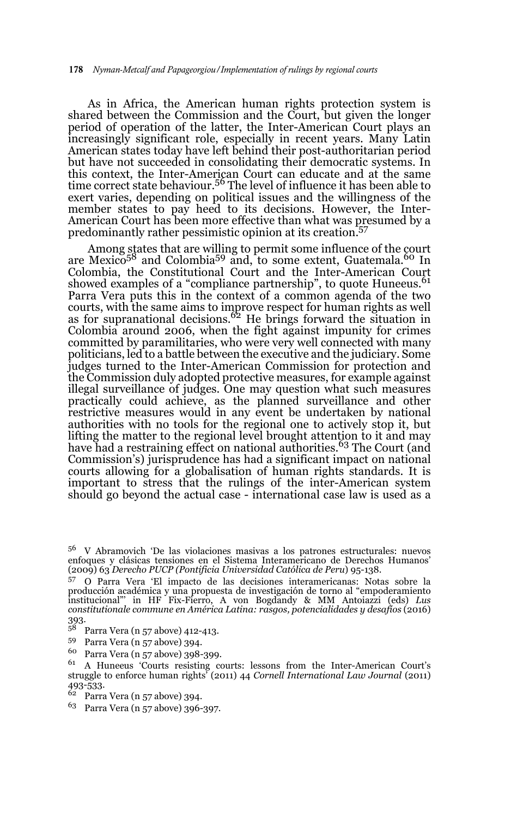As in Africa, the American human rights protection system is shared between the Commission and the Court, but given the longer period of operation of the latter, the Inter-American Court plays an increasingly significant role, especially in recent years. Many Latin American states today have left behind their post-authoritarian period but have not succeeded in consolidating their democratic systems. In this context, the Inter-American Court can educate and at the same time correct state behaviour.<sup>56</sup> The level of influence it has been able to exert varies, depending on political issues and the willingness of the member states to pay heed to its decisions. However, the Inter-American Court has been more effective than what was presumed by a predominantly rather pessimistic opinion at its creation.57

Among states that are willing to permit some influence of the court are Mexico<sup>58</sup> and Colombia<sup>59</sup> and, to some extent, Guatemala.<sup>60</sup> In Colombia, the Constitutional Court and the Inter-American Court showed examples of a "compliance partnership", to quote Huneeus.<sup>61</sup> Parra Vera puts this in the context of a common agenda of the two courts, with the same aims to improve respect for human rights as well<br>as for supranational decisions.<sup>62</sup> He brings forward the situation in Colombia around 2006, when the fight against impunity for crimes committed by paramilitaries, who were very well connected with many politicians, led to a battle between the executive and the judiciary. Some judges turned to the Inter-American Commission for protection and the Commission duly adopted protective measures, for example against illegal surveillance of judges. One may question what such measures practically could achieve, as the planned surveillance and other restrictive measures would in any event be undertaken by national authorities with no tools for the regional one to actively stop it, but lifting the matter to the regional level brought attention to it and may have had a restraining effect on national authorities.<sup>63</sup> The Court (and have had a restraining effect on national authorities.<sup>63</sup> Commission's) jurisprudence has had a significant impact on national courts allowing for a globalisation of human rights standards. It is important to stress that the rulings of the inter-American system should go beyond the actual case - international case law is used as a

- <sup>58</sup> Parra Vera (n 57 above) 412-413.
- $^{59}$  Parra Vera (n 57 above) 394.
- $^{60}$  Parra Vera (n 57 above) 398-399.

- <sup>62</sup> Parra Vera (n 57 above) 394.
- <sup>63</sup> Parra Vera (n 57 above) 396-397.

<sup>56</sup> V Abramovich 'De las violaciones masivas a los patrones estructurales: nuevos enfoques y clásicas tensiones en el Sistema Interamericano de Derechos Humanos' (2009) 63 *Derecho PUCP (Pontificia Universidad Católica de Peru*) 95-138.

<sup>57</sup> O Parra Vera 'El impacto de las decisiones interamericanas: Notas sobre la producción académica y una propuesta de investigación de torno al "empoderamiento institucional"' in HF Fix-Fierro, A von Bogdandy & MM Antoiazzi (eds) *Lus constitutionale commune en América Latina: rasgos, potencialidades y desafíos* (2016)  $393.58$ 

<sup>61</sup> A Huneeus 'Courts resisting courts: lessons from the Inter-American Court's struggle to enforce human rights' (2011) 44 *Cornell International Law Journal* (2011) 493-533.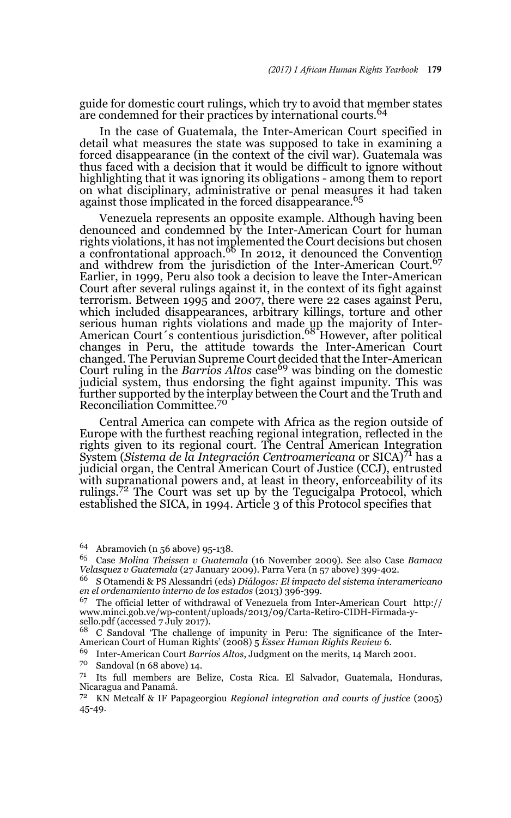guide for domestic court rulings, which try to avoid that member states are condemned for their practices by international courts.<sup>64</sup>

In the case of Guatemala, the Inter-American Court specified in detail what measures the state was supposed to take in examining a forced disappearance (in the context of the civil war). Guatemala was thus faced with a decision that it would be difficult to ignore without highlighting that it was ignoring its obligations - among them to report on what disciplinary, administrative or penal measures it had taken against those implicated in the forced disappearance.<sup>65</sup>

Venezuela represents an opposite example. Although having been denounced and condemned by the Inter-American Court for human rights violations, it has not implemented the Court decisions but chosen a confrontational approach.66 In 2012, it denounced the Convention and withdrew from the jurisdiction of the Inter-American Court.<sup>67</sup> Earlier, in 1999, Peru also took a decision to leave the Inter-American Court after several rulings against it, in the context of its fight against terrorism. Between 1995 and 2007, there were 22 cases against Peru, which included disappearances, arbitrary killings, torture and other serious human rights violations and made up the majority of Inter-<br>American Court´s contentious jurisdiction.<sup>68</sup> However, after political changes in Peru, the attitude towards the Inter-American Court changed. The Peruvian Supreme Court decided that the Inter-American<br>Court ruling in the *Barrios Altos c*ase<sup>69</sup> was binding on the domestic judicial system, thus endorsing the fight against impunity. This was further supported by the interplay between the Court and the Truth and Reconciliation Committee.<sup>70</sup>

Central America can compete with Africa as the region outside of Europe with the furthest reaching regional integration, reflected in the rights given to its regional court. The Central American Integration System (*Sistema de la Integración Centroamericana* or SICA)71 has a judicial organ, the Central American Court of Justice (CCJ), entrusted with supranational powers and, at least in theory, enforceability of its rulings.72 The Court was set up by the Tegucigalpa Protocol, which established the SICA, in 1994. Article 3 of this Protocol specifies that

<sup>64</sup> Abramovich (n 56 above) 95-138.

<sup>65</sup> Case *Molina Theissen v Guatemala* (16 November 2009). See also Case *Bamaca Velasquez v Guatemala* (27 January 2009). Parra Vera (n 57 above) 399-402.

<sup>66</sup> S Otamendi & PS Alessandri (eds) *Diálogos: El impacto del sistema interamericano en el ordenamiento interno de los estados* (2013) 396-399.

 $67$  The official letter of withdrawal of Venezuela from Inter-American Court http:// www.minci.gob.ve/wp-content/uploads/2013/09/Carta-Retiro-CIDH-Firmada-ysello.pdf (accessed 7 July 2017).

<sup>68</sup> C Sandoval 'The challenge of impunity in Peru: The significance of the Inter-American Court of Human Rights' (2008) 5 *Essex Human Rights Review* 6.

<sup>69</sup> Inter-American Court *Barrios Altos*, Judgment on the merits, 14 March 2001.

 $70$  Sandoval (n 68 above) 14.

<sup>71</sup> Its full members are Belize, Costa Rica. El Salvador, Guatemala, Honduras, Nicaragua and Panamá.

<sup>72</sup> KN Metcalf & IF Papageorgiou *Regional integration and courts of justice* (2005) 45-49.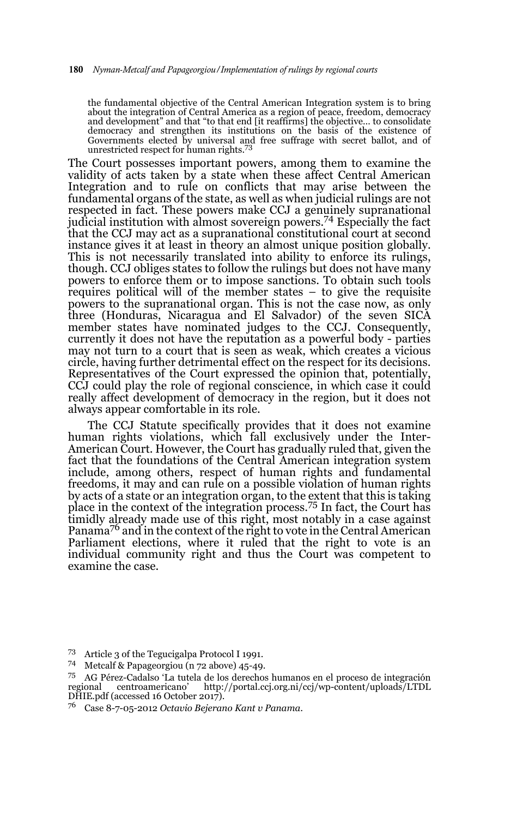the fundamental objective of the Central American Integration system is to bring about the integration of Central America as a region of peace, freedom, democracy and development" and that "to that end [it reaffirms] the objective… to consolidate democracy and strengthen its institutions on the basis of the existence of Governments elected by universal and free suffrage with secret ballot, and of unrestricted respect for human rights.<sup>73</sup>

The Court possesses important powers, among them to examine the validity of acts taken by a state when these affect Central American Integration and to rule on conflicts that may arise between the fundamental organs of the state, as well as when judicial rulings are not respected in fact. These powers make CCJ a genuinely supranational judicial institution with almost sovereign powers.74 Especially the fact that the CCJ may act as a supranational constitutional court at second instance gives it at least in theory an almost unique position globally. This is not necessarily translated into ability to enforce its rulings, though. CCJ obliges states to follow the rulings but does not have many powers to enforce them or to impose sanctions. To obtain such tools requires political will of the member states – to give the requisite powers to the supranational organ. This is not the case now, as only three (Honduras, Nicaragua and El Salvador) of the seven SICA member states have nominated judges to the CCJ. Consequently, currently it does not have the reputation as a powerful body - parties may not turn to a court that is seen as weak, which creates a vicious circle, having further detrimental effect on the respect for its decisions. Representatives of the Court expressed the opinion that, potentially, CCJ could play the role of regional conscience, in which case it could really affect development of democracy in the region, but it does not always appear comfortable in its role.

The CCJ Statute specifically provides that it does not examine human rights violations, which fall exclusively under the Inter-American Court. However, the Court has gradually ruled that, given the fact that the foundations of the Central American integration system include, among others, respect of human rights and fundamental freedoms, it may and can rule on a possible violation of human rights by acts of a state or an integration organ, to the extent that this is taking place in the context of the integration process.<sup>75</sup> In fact, the Court has timidly already made use of this right, most notably in a case against Panama<sup>76</sup> and in the context of the right to vote in the Central American Parliament elections, where it ruled that the right to vote is an individual community right and thus the Court was competent to examine the case.

<sup>73</sup> Article 3 of the Tegucigalpa Protocol I 1991.

<sup>74</sup> Metcalf & Papageorgiou (n 72 above) 45-49.

<sup>&</sup>lt;sup>75</sup> AG Pérez-Cadalso 'La tutela de los derechos humanos en el proceso de integración regional centroamericano' http://portal.cci.org.ni/cci/wp-content/uploads/LTDL centroamericano' http://portal.ccj.org.ni/ccj/wp-content/uploads/LTDL DHIE.pdf (accessed 16 October 2017).

<sup>76</sup> Case 8-7-05-2012 *Octavio Bejerano Kant v Panama.*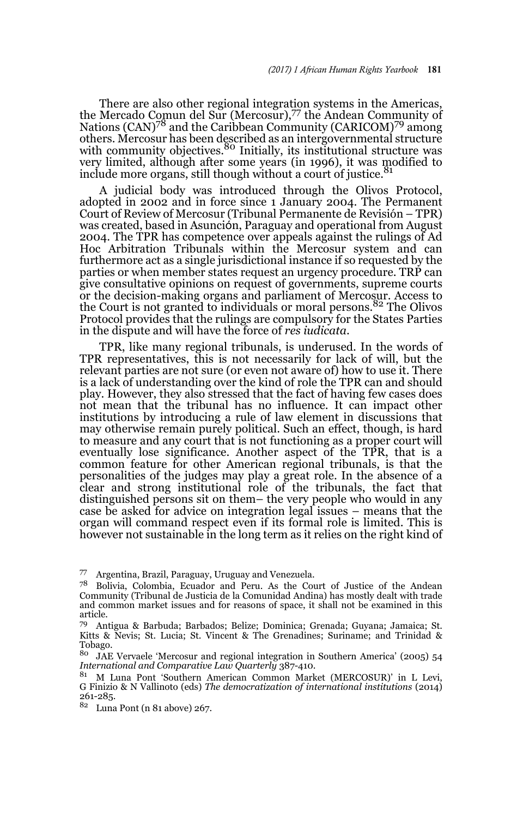There are also other regional integration systems in the Americas, the Mercado Comun del Sur (Mercosur),<sup>77</sup> the Andean Community of Nations (CAN)<sup>78</sup> and the Caribbean Community (CARICOM)<sup>79</sup> among others. Mercosur has been described as an intergovernmental structure<br>with community objectives.<sup>80</sup> Initially, its institutional structure was very limited, although after some years (in 1996), it was modified to include more organs, still though without a court of justice.<sup>81</sup>

A judicial body was introduced through the Olivos Protocol, adopted in 2002 and in force since 1 January 2004. The Permanent Court of Review of Mercosur (Tribunal Permanente de Revisión – TPR) was created, based in Asunción, Paraguay and operational from August 2004. The TPR has competence over appeals against the rulings of Ad Hoc Arbitration Tribunals within the Mercosur system and can furthermore act as a single jurisdictional instance if so requested by the parties or when member states request an urgency procedure. TRP can give consultative opinions on request of governments, supreme courts or the decision-making organs and parliament of Mercosur. Access to the Court is not granted to individuals or moral persons.82 The Olivos Protocol provides that the rulings are compulsory for the States Parties in the dispute and will have the force of *res iudicata*.

TPR, like many regional tribunals, is underused. In the words of TPR representatives, this is not necessarily for lack of will, but the relevant parties are not sure (or even not aware of) how to use it. There is a lack of understanding over the kind of role the TPR can and should play. However, they also stressed that the fact of having few cases does not mean that the tribunal has no influence. It can impact other institutions by introducing a rule of law element in discussions that may otherwise remain purely political. Such an effect, though, is hard to measure and any court that is not functioning as a proper court will eventually lose significance. Another aspect of the TPR, that is a common feature for other American regional tribunals, is that the personalities of the judges may play a great role. In the absence of a clear and strong institutional role of the tribunals, the fact that distinguished persons sit on them– the very people who would in any case be asked for advice on integration legal issues – means that the organ will command respect even if its formal role is limited. This is however not sustainable in the long term as it relies on the right kind of

<sup>77</sup> Argentina, Brazil, Paraguay, Uruguay and Venezuela.

<sup>78</sup> Bolivia, Colombia, Ecuador and Peru. As the Court of Justice of the Andean Community (Tribunal de Justicia de la Comunidad Andina) has mostly dealt with trade and common market issues and for reasons of space, it shall not be examined in this article.

<sup>79</sup> Antigua & Barbuda; Barbados; Belize; Dominica; Grenada; Guyana; Jamaica; St. Kitts & Nevis; St. Lucia; St. Vincent & The Grenadines; Suriname; and Trinidad & Tobago.<br>80 LAE

<sup>80</sup> JAE Vervaele 'Mercosur and regional integration in Southern America' (2005) 54 *International and Comparative Law Quarterly* 387-410.

<sup>81</sup> M Luna Pont 'Southern American Common Market (MERCOSUR)' in L Levi, G Finizio & N Vallinoto (eds) *The democratization of international institutions* (2014) 261-285.

<sup>82</sup> Luna Pont (n 81 above) 267.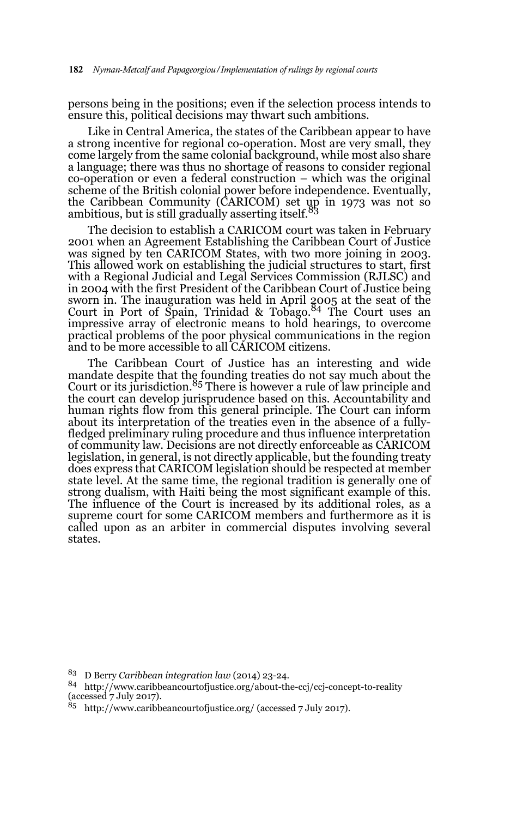persons being in the positions; even if the selection process intends to ensure this, political decisions may thwart such ambitions.

Like in Central America, the states of the Caribbean appear to have a strong incentive for regional co-operation. Most are very small, they come largely from the same colonial background, while most also share a language; there was thus no shortage of reasons to consider regional co-operation or even a federal construction – which was the original scheme of the British colonial power before independence. Eventually, the Caribbean Community (CARICOM) set up in 1973 was not so<br>ambitious, but is still gradually asserting itself.<sup>83</sup>

The decision to establish a CARICOM court was taken in February 2001 when an Agreement Establishing the Caribbean Court of Justice was signed by ten CARICOM States, with two more joining in 2003. This allowed work on establishing the judicial structures to start, first with a Regional Judicial and Legal Services Commission (RJLSC) and in 2004 with the first President of the Caribbean Court of Justice being sworn in. The inauguration was held in April 2005 at the seat of the<br>Court in Port of Spain, Trinidad & Tobago.<sup>84</sup> The Court uses an impressive array of electronic means to hold hearings, to overcome practical problems of the poor physical communications in the region and to be more accessible to all CARICOM citizens.

The Caribbean Court of Justice has an interesting and wide mandate despite that the founding treaties do not say much about the<br>Court or its jurisdiction.<sup>85</sup> There is however a rule of law principle and the court can develop jurisprudence based on this. Accountability and human rights flow from this general principle. The Court can inform about its interpretation of the treaties even in the absence of a fullyfledged preliminary ruling procedure and thus influence interpretation of community law. Decisions are not directly enforceable as CARICOM legislation, in general, is not directly applicable, but the founding treaty does express that CARICOM legislation should be respected at member state level. At the same time, the regional tradition is generally one of strong dualism, with Haiti being the most significant example of this. The influence of the Court is increased by its additional roles, as a supreme court for some CARICOM members and furthermore as it is called upon as an arbiter in commercial disputes involving several states.

 $85$  http://www.caribbeancourtofjustice.org/ (accessed 7 July 2017).

<sup>83</sup> D Berry *Caribbean integration law* (2014) 23-24.

<sup>84</sup> http://www.caribbeancourtofjustice.org/about-the-ccj/ccj-concept-to-reality (accessed 7 July 2017).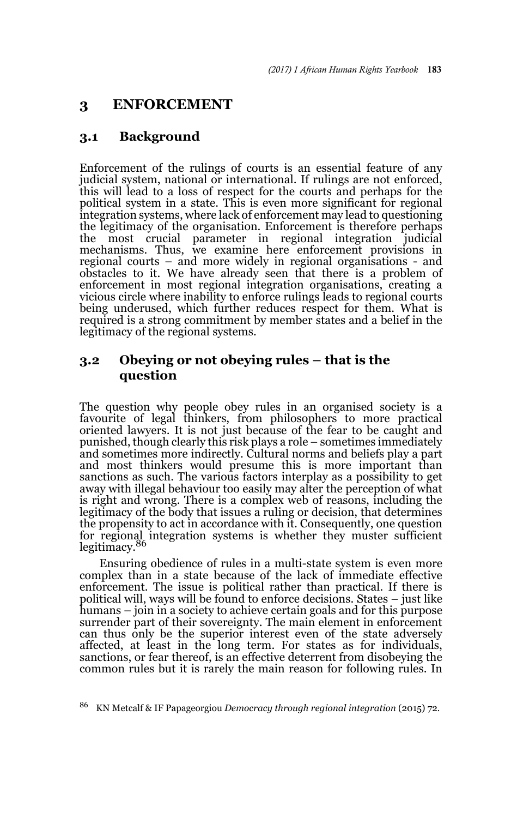# **3 ENFORCEMENT**

# **3.1 Background**

Enforcement of the rulings of courts is an essential feature of any judicial system, national or international. If rulings are not enforced, this will lead to a loss of respect for the courts and perhaps for the political system in a state. This is even more significant for regional integration systems, where lack of enforcement may lead to questioning the legitimacy of the organisation. Enforcement is therefore perhaps the most crucial parameter in regional integration judicial mechanisms. Thus, we examine here enforcement provisions in regional courts – and more widely in regional organisations - and obstacles to it. We have already seen that there is a problem of enforcement in most regional integration organisations, creating a vicious circle where inability to enforce rulings leads to regional courts being underused, which further reduces respect for them. What is required is a strong commitment by member states and a belief in the legitimacy of the regional systems.

# **3.2 Obeying or not obeying rules – that is the question**

The question why people obey rules in an organised society is a favourite of legal thinkers, from philosophers to more practical oriented lawyers. It is not just because of the fear to be caught and punished, though clearly this risk plays a role – sometimes immediately and sometimes more indirectly. Cultural norms and beliefs play a part and most thinkers would presume this is more important than sanctions as such. The various factors interplay as a possibility to get away with illegal behaviour too easily may alter the perception of what is right and wrong. There is a complex web of reasons, including the legitimacy of the body that issues a ruling or decision, that determines the propensity to act in accordance with it. Consequently, one question for regional integration systems is whether they muster sufficient legitimacy.<sup>86</sup>

Ensuring obedience of rules in a multi-state system is even more complex than in a state because of the lack of immediate effective enforcement. The issue is political rather than practical. If there is political will, ways will be found to enforce decisions. States – just like humans – join in a society to achieve certain goals and for this purpose surrender part of their sovereignty. The main element in enforcement can thus only be the superior interest even of the state adversely affected, at least in the long term. For states as for individuals, sanctions, or fear thereof, is an effective deterrent from disobeying the common rules but it is rarely the main reason for following rules. In

<sup>86</sup> KN Metcalf & IF Papageorgiou *Democracy through regional integration* (2015) 72*.*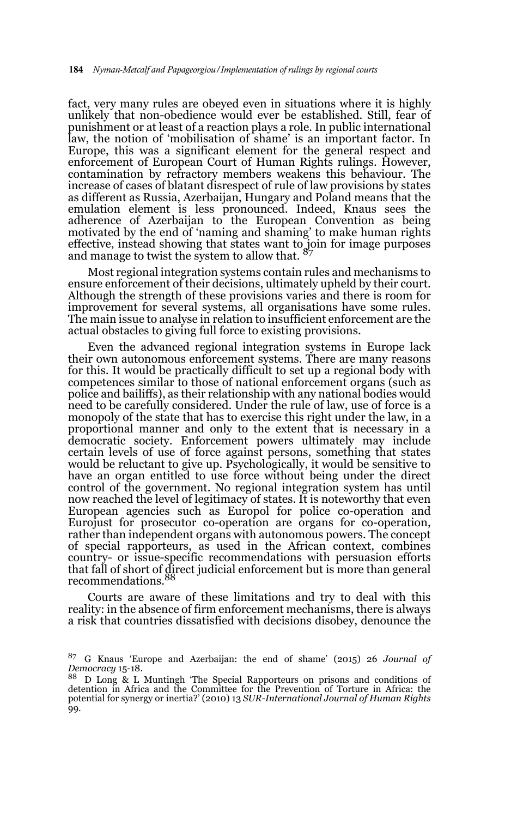fact, very many rules are obeyed even in situations where it is highly unlikely that non-obedience would ever be established. Still, fear of punishment or at least of a reaction plays a role. In public international law, the notion of 'mobilisation of shame' is an important factor. In Europe, this was a significant element for the general respect and enforcement of European Court of Human Rights rulings. However, contamination by refractory members weakens this behaviour. The increase of cases of blatant disrespect of rule of law provisions by states as different as Russia, Azerbaijan, Hungary and Poland means that the emulation element is less pronounced. Indeed, Knaus sees the adherence of Azerbaijan to the European Convention as being motivated by the end of 'naming and shaming' to make human rights effective, instead showing that states want to join for image purposes<br>and manage to twist the system to allow that. <sup>87</sup>

Most regional integration systems contain rules and mechanisms to ensure enforcement of their decisions, ultimately upheld by their court. Although the strength of these provisions varies and there is room for improvement for several systems, all organisations have some rules. The main issue to analyse in relation to insufficient enforcement are the actual obstacles to giving full force to existing provisions.

Even the advanced regional integration systems in Europe lack their own autonomous enforcement systems. There are many reasons for this. It would be practically difficult to set up a regional body with competences similar to those of national enforcement organs (such as police and bailiffs), as their relationship with any national bodies would need to be carefully considered. Under the rule of law, use of force is a monopoly of the state that has to exercise this right under the law, in a proportional manner and only to the extent that is necessary in a democratic society. Enforcement powers ultimately may include certain levels of use of force against persons, something that states would be reluctant to give up. Psychologically, it would be sensitive to have an organ entitled to use force without being under the direct control of the government. No regional integration system has until now reached the level of legitimacy of states. It is noteworthy that even European agencies such as Europol for police co-operation and Eurojust for prosecutor co-operation are organs for co-operation, rather than independent organs with autonomous powers. The concept of special rapporteurs, as used in the African context, combines country- or issue-specific recommendations with persuasion efforts that fall of short of direct judicial enforcement but is more than general recommendations.88

Courts are aware of these limitations and try to deal with this reality: in the absence of firm enforcement mechanisms, there is always a risk that countries dissatisfied with decisions disobey, denounce the

<sup>87</sup> G Knaus 'Europe and Azerbaijan: the end of shame' (2015) 26 *Journal of Democracy* 15-18.

<sup>88</sup> D Long & L Muntingh 'The Special Rapporteurs on prisons and conditions of detention in Africa and the Committee for the Prevention of Torture in Africa: the potential for synergy or inertia?' (2010) 13 *SUR-International Journal of Human Rights* 99.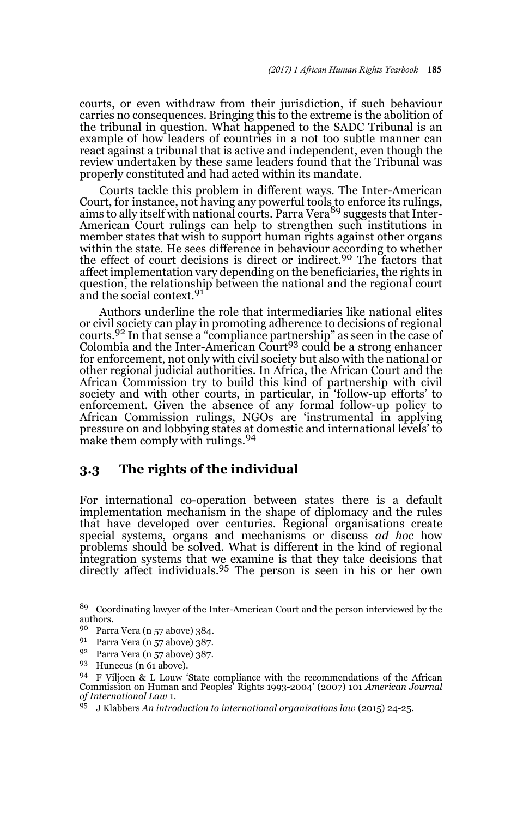courts, or even withdraw from their jurisdiction, if such behaviour carries no consequences. Bringing this to the extreme is the abolition of the tribunal in question. What happened to the SADC Tribunal is an example of how leaders of countries in a not too subtle manner can react against a tribunal that is active and independent, even though the review undertaken by these same leaders found that the Tribunal was properly constituted and had acted within its mandate.

Courts tackle this problem in different ways. The Inter-American Court, for instance, not having any powerful tools to enforce its rulings,<br>aims to ally itself with national courts. Parra Vera<sup>89</sup> suggests that Inter-American Court rulings can help to strengthen such institutions in member states that wish to support human rights against other organs within the state. He sees difference in behaviour according to whether the effect of court decisions is direct or indirect.<sup>90</sup> The factors that affect implementation vary depending on the beneficiaries, the rights in question, the relationship between the national and the regional court and the social context.<sup>91</sup>

Authors underline the role that intermediaries like national elites or civil society can play in promoting adherence to decisions of regional courts.92 In that sense a "compliance partnership" as seen in the case of Colombia and the Inter-American Court<sup>93</sup> could be a strong enhancer for enforcement, not only with civil society but also with the national or other regional judicial authorities. In Africa, the African Court and the African Commission try to build this kind of partnership with civil society and with other courts, in particular, in 'follow-up efforts' to enforcement. Given the absence of any formal follow-up policy to African Commission rulings, NGOs are 'instrumental in applying pressure on and lobbying states at domestic and international levels' to make them comply with rulings.<sup>94</sup>

### **3.3 The rights of the individual**

For international co-operation between states there is a default implementation mechanism in the shape of diplomacy and the rules that have developed over centuries. Regional organisations create special systems, organs and mechanisms or discuss *ad hoc* how problems should be solved. What is different in the kind of regional integration systems that we examine is that they take decisions that directly affect individuals.95 The person is seen in his or her own

<sup>95</sup> J Klabbers *An introduction to international organizations law* (2015) 24-25.

<sup>89</sup> Coordinating lawyer of the Inter-American Court and the person interviewed by the authors.

<sup>90</sup> Parra Vera (n 57 above) 384.

Parra Vera (n 57 above) 387.

<sup>92</sup> Parra Vera (n 57 above) 387.

<sup>93</sup> Huneeus (n 61 above).

<sup>94</sup> F Viljoen & L Louw 'State compliance with the recommendations of the African Commission on Human and Peoples' Rights 1993-2004' (2007) 101 *American Journal of International Law* 1.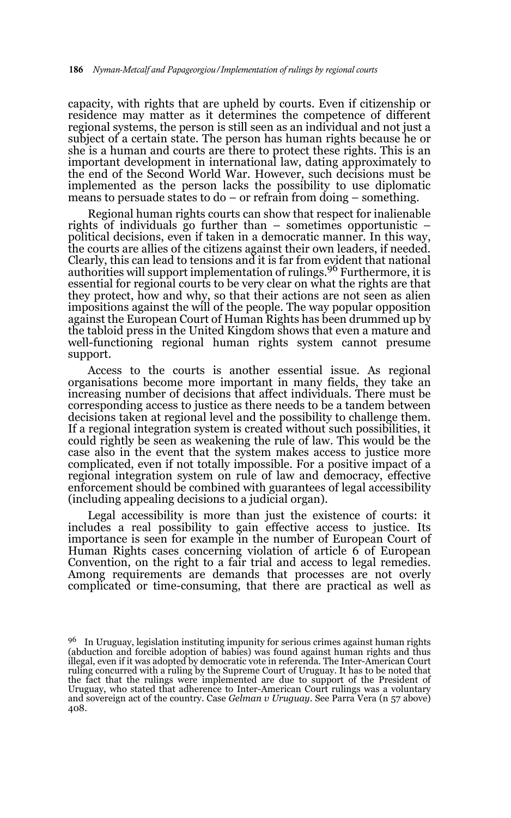capacity, with rights that are upheld by courts. Even if citizenship or residence may matter as it determines the competence of different regional systems, the person is still seen as an individual and not just a subject of a certain state. The person has human rights because he or she is a human and courts are there to protect these rights. This is an important development in international law, dating approximately to the end of the Second World War. However, such decisions must be implemented as the person lacks the possibility to use diplomatic means to persuade states to do – or refrain from doing – something.

Regional human rights courts can show that respect for inalienable rights of individuals go further than – sometimes opportunistic – political decisions, even if taken in a democratic manner. In this way, the courts are allies of the citizens against their own leaders, if needed. Clearly, this can lead to tensions and it is far from evident that national authorities will support implementation of rulings.96 Furthermore, it is essential for regional courts to be very clear on what the rights are that they protect, how and why, so that their actions are not seen as alien impositions against the will of the people. The way popular opposition against the European Court of Human Rights has been drummed up by the tabloid press in the United Kingdom shows that even a mature and well-functioning regional human rights system cannot presume support.

Access to the courts is another essential issue. As regional organisations become more important in many fields, they take an increasing number of decisions that affect individuals. There must be corresponding access to justice as there needs to be a tandem between decisions taken at regional level and the possibility to challenge them. If a regional integration system is created without such possibilities, it could rightly be seen as weakening the rule of law. This would be the case also in the event that the system makes access to justice more complicated, even if not totally impossible. For a positive impact of a regional integration system on rule of law and democracy, effective enforcement should be combined with guarantees of legal accessibility (including appealing decisions to a judicial organ).

Legal accessibility is more than just the existence of courts: it includes a real possibility to gain effective access to justice. Its importance is seen for example in the number of European Court of Human Rights cases concerning violation of article 6 of European Convention, on the right to a fair trial and access to legal remedies. Among requirements are demands that processes are not overly complicated or time-consuming, that there are practical as well as

<sup>&</sup>lt;sup>96</sup> In Uruguay, legislation instituting impunity for serious crimes against human rights (abduction and forcible adoption of babies) was found against human rights and thus illegal, even if it was adopted by democratic vote in referenda. The Inter-American Court ruling concurred with a ruling by the Supreme Court of Uruguay. It has to be noted that the fact that the rulings were implemented are due to support of the President of Uruguay, who stated that adherence to Inter-American Court rulings was a voluntary and sovereign act of the country. Case *Gelman v Uruguay*. See Parra Vera (n 57 above) 408.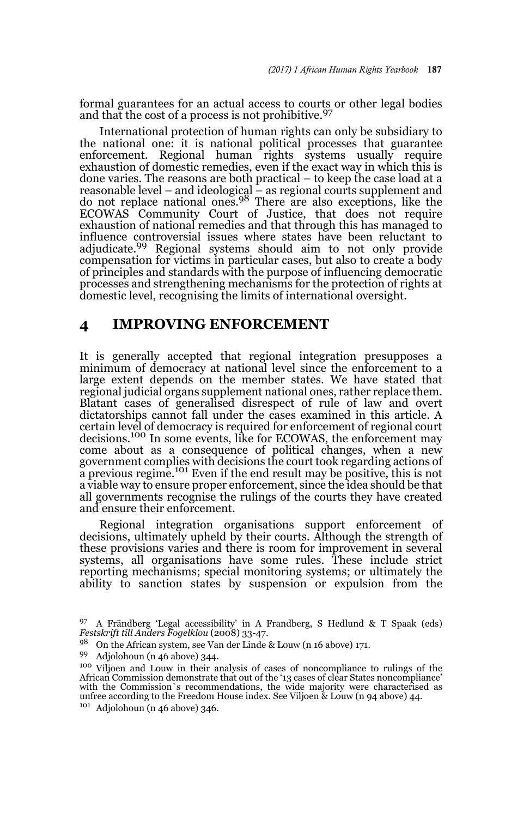formal guarantees for an actual access to courts or other legal bodies and that the cost of a process is not prohibitive.<sup>97</sup>

International protection of human rights can only be subsidiary to the national one: it is national political processes that guarantee enforcement. Regional human rights systems usually require exhaustion of domestic remedies, even if the exact way in which this is done varies. The reasons are both practical – to keep the case load at a reasonable level – and ideological – as regional courts supplement and<br>do not replace national ones.<sup>98</sup> There are also exceptions, like the ECOWAS Community Court of Justice, that does not require exhaustion of national remedies and that through this has managed to influence controversial issues where states have been reluctant to adjudicate.<sup>99</sup> Regional systems should aim to not only provide compensation for victims in particular cases, but also to create a body of principles and standards with the purpose of influencing democratic processes and strengthening mechanisms for the protection of rights at domestic level, recognising the limits of international oversight.

### **4 IMPROVING ENFORCEMENT**

It is generally accepted that regional integration presupposes a minimum of democracy at national level since the enforcement to a large extent depends on the member states. We have stated that regional judicial organs supplement national ones, rather replace them. Blatant cases of generalised disrespect of rule of law and overt dictatorships cannot fall under the cases examined in this article. A certain level of democracy is required for enforcement of regional court decisions.100 In some events, like for ECOWAS, the enforcement may come about as a consequence of political changes, when a new government complies with decisions the court took regarding actions of a previous regime.101 Even if the end result may be positive, this is not a viable way to ensure proper enforcement, since the idea should be that all governments recognise the rulings of the courts they have created and ensure their enforcement.

Regional integration organisations support enforcement of decisions, ultimately upheld by their courts. Although the strength of these provisions varies and there is room for improvement in several systems, all organisations have some rules. These include strict reporting mechanisms; special monitoring systems; or ultimately the ability to sanction states by suspension or expulsion from the

<sup>97</sup> A Frändberg 'Legal accessibility' in A Frandberg, S Hedlund & T Spaak (eds) *Festskrift till Anders Fogelklou* (2008) 33-47.

<sup>98</sup> On the African system, see Van der Linde & Louw (n 16 above) 171.

<sup>99</sup> Adjolohoun (n 46 above) 344.

<sup>100</sup> Viljoen and Louw in their analysis of cases of noncompliance to rulings of the African Commission demonstrate that out of the '13 cases of clear States noncompliance' with the Commission`s recommendations, the wide majority were characterised as unfree according to the Freedom House index. See Viljoen & Louw (n 94 above) 44.  $101$  Adjolohoun (n 46 above) 346.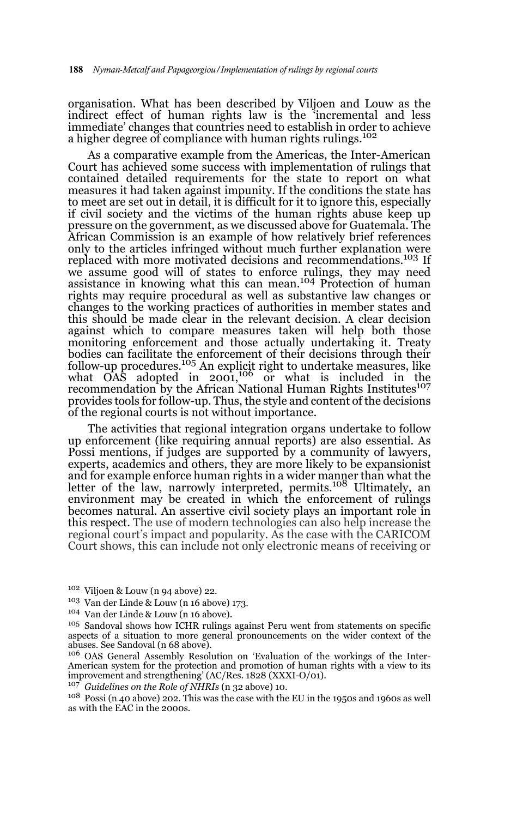organisation. What has been described by Viljoen and Louw as the indirect effect of human rights law is the 'incremental and less immediate' changes that countries need to establish in order to achieve a higher degree of compliance with human rights rulings.<sup>102</sup>

As a comparative example from the Americas, the Inter-American Court has achieved some success with implementation of rulings that contained detailed requirements for the state to report on what measures it had taken against impunity. If the conditions the state has to meet are set out in detail, it is difficult for it to ignore this, especially if civil society and the victims of the human rights abuse keep up pressure on the government, as we discussed above for Guatemala. The African Commission is an example of how relatively brief references only to the articles infringed without much further explanation were replaced with more motivated decisions and recommendations.<sup>103</sup> If we assume good will of states to enforce rulings, they may need<br>assistance in knowing what this can mean.<sup>104</sup> Protection of human rights may require procedural as well as substantive law changes or changes to the working practices of authorities in member states and this should be made clear in the relevant decision. A clear decision against which to compare measures taken will help both those monitoring enforcement and those actually undertaking it. Treaty bodies can facilitate the enforcement of their decisions through their<br>follow-up procedures.<sup>105</sup> An explicit right to undertake measures, like what  $OAS$  adopted in  $2001$ ,<sup>106</sup> or what is included in the recommendation by the African National Human Rights Institutes<sup>107</sup> provides tools for follow-up. Thus, the style and content of the decisions of the regional courts is not without importance.

The activities that regional integration organs undertake to follow up enforcement (like requiring annual reports) are also essential. As Possi mentions, if judges are supported by a community of lawyers, experts, academics and others, they are more likely to be expansionist and for example enforce human rights in a wider manner than what the<br>letter of the law, narrowly interpreted, permits.<sup>108</sup> Ultimately, an environment may be created in which the enforcement of rulings becomes natural. An assertive civil society plays an important role in this respect. The use of modern technologies can also help increase the regional court's impact and popularity. As the case with the CARICOM Court shows, this can include not only electronic means of receiving or

- <sup>102</sup> Viljoen & Louw (n 94 above) 22.
- <sup>103</sup> Van der Linde & Louw (n 16 above) 173.
- <sup>104</sup> Van der Linde & Louw (n 16 above).

<sup>107</sup> *Guidelines on the Role of NHRIs* (n 32 above) 10.

<sup>105</sup> Sandoval shows how ICHR rulings against Peru went from statements on specific aspects of a situation to more general pronouncements on the wider context of the abuses. See Sandoval (n 68 above).

<sup>106</sup> OAS General Assembly Resolution on 'Evaluation of the workings of the Inter-American system for the protection and promotion of human rights with a view to its improvement and strengthening' (AC/Res. 1828 (XXXI-O/01).

 $^{108}$  Possi (n 40 above) 202. This was the case with the EU in the 1950s and 1960s as well as with the EAC in the 2000s.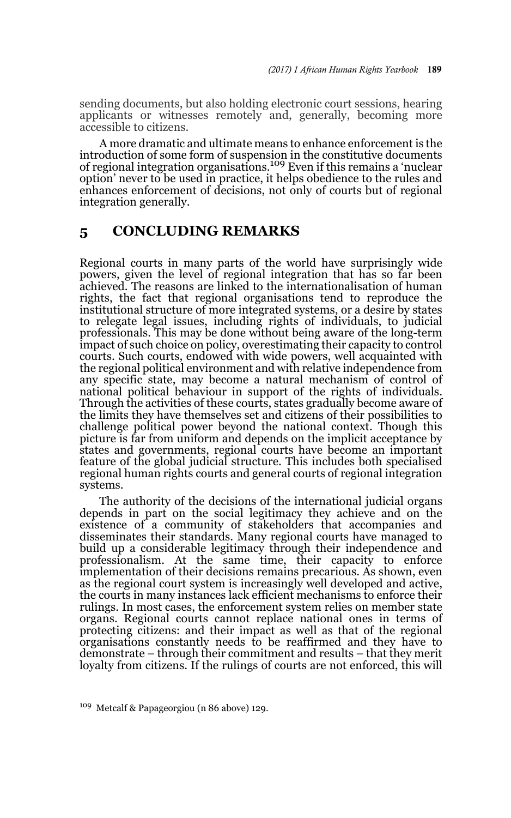sending documents, but also holding electronic court sessions, hearing applicants or witnesses remotely and, generally, becoming more accessible to citizens.

A more dramatic and ultimate means to enhance enforcement is the introduction of some form of suspension in the constitutive documents of regional integration organisations.109 Even if this remains a 'nuclear option' never to be used in practice, it helps obedience to the rules and enhances enforcement of decisions, not only of courts but of regional integration generally.

# **5 CONCLUDING REMARKS**

Regional courts in many parts of the world have surprisingly wide powers, given the level of regional integration that has so far been achieved. The reasons are linked to the internationalisation of human rights, the fact that regional organisations tend to reproduce the institutional structure of more integrated systems, or a desire by states to relegate legal issues, including rights of individuals, to judicial professionals. This may be done without being aware of the long-term impact of such choice on policy, overestimating their capacity to control courts. Such courts, endowed with wide powers, well acquainted with the regional political environment and with relative independence from any specific state, may become a natural mechanism of control of national political behaviour in support of the rights of individuals. Through the activities of these courts, states gradually become aware of the limits they have themselves set and citizens of their possibilities to challenge political power beyond the national context. Though this picture is far from uniform and depends on the implicit acceptance by states and governments, regional courts have become an important feature of the global judicial structure. This includes both specialised regional human rights courts and general courts of regional integration systems.

The authority of the decisions of the international judicial organs depends in part on the social legitimacy they achieve and on the existence of a community of stakeholders that accompanies and disseminates their standards. Many regional courts have managed to build up a considerable legitimacy through their independence and professionalism. At the same time, their capacity to enforce implementation of their decisions remains precarious. As shown, even as the regional court system is increasingly well developed and active, the courts in many instances lack efficient mechanisms to enforce their rulings. In most cases, the enforcement system relies on member state organs. Regional courts cannot replace national ones in terms of protecting citizens: and their impact as well as that of the regional organisations constantly needs to be reaffirmed and they have to demonstrate – through their commitment and results – that they merit loyalty from citizens. If the rulings of courts are not enforced, this will

<sup>109</sup> Metcalf & Papageorgiou (n 86 above) 129.